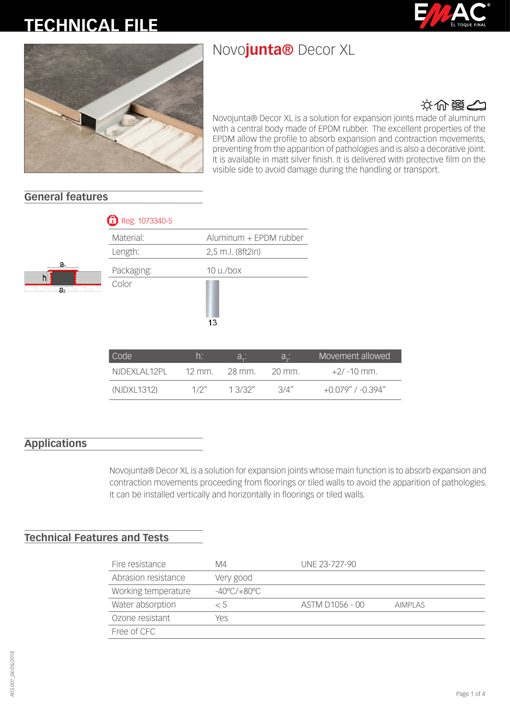# **TECHNICAL FILE**







# 文命器の

Novojunta® Decor XL is a solution for expansion joints made of aluminum with a central body made of EPDM rubber. The excellent properties of the EPDM allow the profile to absorb expansion and contraction movements, preventing from the apparition of pathologies and is also a decorative joint. It is available in matt silver finish. It is delivered with protective film on the visible side to avoid damage during the handling or transport.

## **General features**

 $\mathbf{a}$ 

| $\Box$ Reg. 1073340-5 |                        |  |
|-----------------------|------------------------|--|
| Material:             | Aluminum + EPDM rubber |  |
| Length:               | 2,5 m.l. (8ft2in)      |  |
| Packaging:            | 10 u./box              |  |
| Color                 |                        |  |
|                       | 13                     |  |

| Code           |       | ra       | $a_{\circ}$ : | Movement allowed        |
|----------------|-------|----------|---------------|-------------------------|
| NIDEXI AI 12PI | 12 mm | -28 mm.  | 20 mm         | $+2/ -10$ mm.           |
| (NJDXL1312)    | 1/2'' | 1.3/32'' | $3/\Delta''$  | $+0.079''$ / $-0.394''$ |

### **Applications**

Novojunta® Decor XL is a solution for expansion joints whose main function is to absorb expansion and contraction movements proceeding from floorings or tiled walls to avoid the apparition of pathologies. It can be installed vertically and horizontally in floorings or tiled walls.

## **Technical Features and Tests**

| Fire resistance     | M4                               | UNE 23-727-90   |                |
|---------------------|----------------------------------|-----------------|----------------|
| Abrasion resistance | Very good                        |                 |                |
| Working temperature | $-40^{\circ}$ C/ $+80^{\circ}$ C |                 |                |
| Water absorption    | < 5                              | ASTM D1056 - 00 | <b>AIMPLAS</b> |
| Ozone resistant     | Yes                              |                 |                |
| Free of CFC         |                                  |                 |                |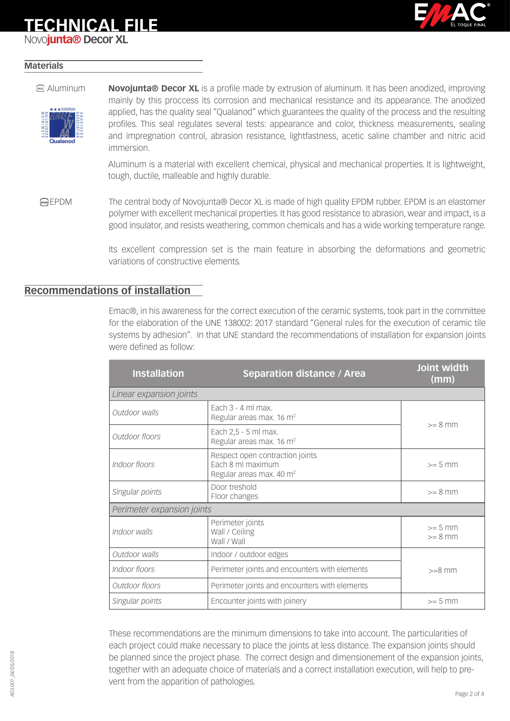# **TECHNICAL FILE**

Novo**junta® Decor XL**



### **Materials**



Aluminum **Novojunta® Decor XL** is a profile made by extrusion of aluminum. It has been anodized, improving mainly by this proccess its corrosion and mechanical resistance and its appearance. The anodized applied, has the quality seal "Qualanod" which guarantees the quality of the process and the resulting profiles. This seal regulates several tests: appearance and color, thickness measurements, sealing and impregnation control, abrasion resistance, lightfastness, acetic saline chamber and nitric acid immersion.

> Aluminum is a material with excellent chemical, physical and mechanical properties. It is lightweight, tough, ductile, malleable and highly durable.

EPDM The central body of Novojunta® Decor XL is made of high quality EPDM rubber. EPDM is an elastomer polymer with excellent mechanical properties. It has good resistance to abrasion, wear and impact, is a good insulator, and resists weathering, common chemicals and has a wide working temperature range.

> Its excellent compression set is the main feature in absorbing the deformations and geometric variations of constructive elements.

### **Recommendations of installation**

Emac®, in his awareness for the correct execution of the ceramic systems, took part in the committee for the elaboration of the UNE 138002: 2017 standard "General rules for the execution of ceramic tile systems by adhesion". In that UNE standard the recommendations of installation for expansion joints were defined as follow:

| <b>Installation</b>        | <b>Separation distance / Area</b>                                                            | Joint width<br>(mm)    |  |
|----------------------------|----------------------------------------------------------------------------------------------|------------------------|--|
| Linear expansion joints    |                                                                                              |                        |  |
| Outdoor walls              | Fach $3 - 4$ ml max.<br>Regular areas max. 16 m <sup>2</sup>                                 | $>= 8$ mm              |  |
| Outdoor floors             | Each 2,5 - 5 ml max.<br>Regular areas max. 16 m <sup>2</sup>                                 |                        |  |
| Indoor floors              | Respect open contraction joints<br>Fach 8 ml maximum<br>Regular areas max. 40 m <sup>2</sup> | $>= 5$ mm              |  |
| Singular points            | Door treshold<br>Floor changes                                                               | $>= 8$ mm              |  |
| Perimeter expansion joints |                                                                                              |                        |  |
| Indoor walls               | Perimeter joints<br>Wall / Ceiling<br>Wall / Wall                                            | $>= 5$ mm<br>$>= 8$ mm |  |
| Outdoor walls              | Indoor / outdoor edges                                                                       |                        |  |
| Indoor floors              | Perimeter joints and encounters with elements                                                | $>=8$ mm               |  |
| Outdoor floors             | Perimeter joints and encounters with elements                                                |                        |  |
| Singular points            | Encounter joints with joinery                                                                | $>= 5$ mm              |  |

These recommendations are the minimum dimensions to take into account. The particularities of each project could make necessary to place the joints at less distance. The expansion joints should be planned since the project phase. The correct design and dimensionement of the expansion joints, together with an adequate choice of materials and a correct installation execution, will help to prevent from the apparition of pathologies.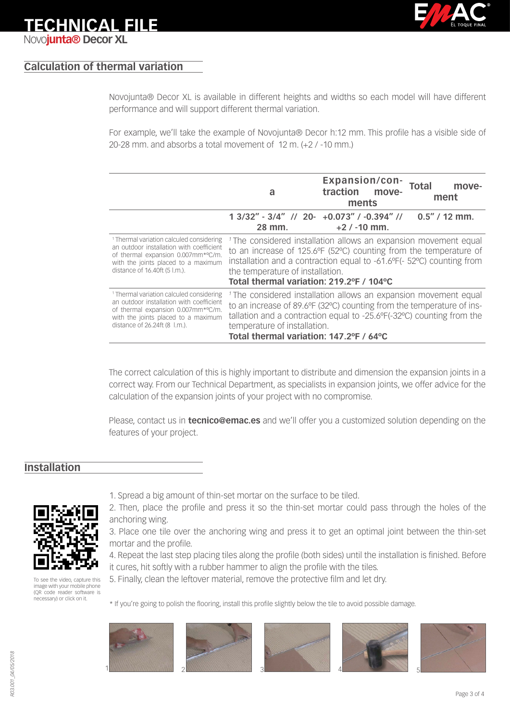

## **Calculation of thermal variation**

**TECHNICAL FILE**

Novo**junta® Decor XL**

Novojunta® Decor XL is available in different heights and widths so each model will have different performance and will support different thermal variation.

For example, we'll take the example of Novojunta® Decor h:12 mm. This profile has a visible side of 20-28 mm. and absorbs a total movement of 12 m. (+2 / -10 mm.)

|                                                                                                                                                                                                               | a                                                                                                                                                                                                                                                                                                         | <b>Expansion/con-</b><br>traction<br>move-<br>ments | Total<br>move-<br>ment |
|---------------------------------------------------------------------------------------------------------------------------------------------------------------------------------------------------------------|-----------------------------------------------------------------------------------------------------------------------------------------------------------------------------------------------------------------------------------------------------------------------------------------------------------|-----------------------------------------------------|------------------------|
|                                                                                                                                                                                                               | $13/32'' - 3/4''$ // 20- $+0.073''$ / -0.394" //<br>28 mm.                                                                                                                                                                                                                                                | $+2/ -10$ mm.                                       | $0.5''/12$ mm.         |
| <sup>1</sup> Thermal variation calculed considering<br>an outdoor installation with coefficient<br>of thermal expansion 0.007mm*°C/m.<br>with the joints placed to a maximum<br>distance of 16.40ft (5 l.m.). | <sup>1</sup> The considered installation allows an expansion movement equal<br>to an increase of 125.6°F (52°C) counting from the temperature of<br>installation and a contraction equal to -61.6°F(- 52°C) counting from<br>the temperature of installation.<br>Total thermal variation: 219.2°F / 104°C |                                                     |                        |
| <sup>1</sup> Thermal variation calculed considering<br>an outdoor installation with coefficient<br>of thermal expansion 0.007mm*°C/m.<br>with the joints placed to a maximum<br>distance of 26.24ft (8 l.m.). | <sup>1</sup> The considered installation allows an expansion movement equal<br>to an increase of 89.6°F (32°C) counting from the temperature of ins-<br>tallation and a contraction equal to -25.6°F(-32°C) counting from the<br>temperature of installation.<br>Total thermal variation: 147.2°F / 64°C  |                                                     |                        |

The correct calculation of this is highly important to distribute and dimension the expansion joints in a correct way. From our Technical Department, as specialists in expansion joints, we offer advice for the calculation of the expansion joints of your project with no compromise.

Please, contact us in **tecnico@emac.es** and we'll offer you a customized solution depending on the features of your project.

### **Installation**



To see the video, capture this image with your mobile phone (QR code reader software is necessary) or click on it.

- 1. Spread a big amount of thin-set mortar on the surface to be tiled.
- 2. Then, place the profile and press it so the thin-set mortar could pass through the holes of the anchoring wing.
- 3. Place one tile over the anchoring wing and press it to get an optimal joint between the thin-set mortar and the profile.
- 4. Repeat the last step placing tiles along the profile (both sides) until the installation is finished. Before
- it cures, hit softly with a rubber hammer to align the profile with the tiles.
- 5. Finally, clean the leftover material, remove the protective film and let dry.

\* If you're going to polish the flooring, install this profile slightly below the tile to avoid possible damage.



803.001\_04/05/2018 *R03.001\_04/05/2018*